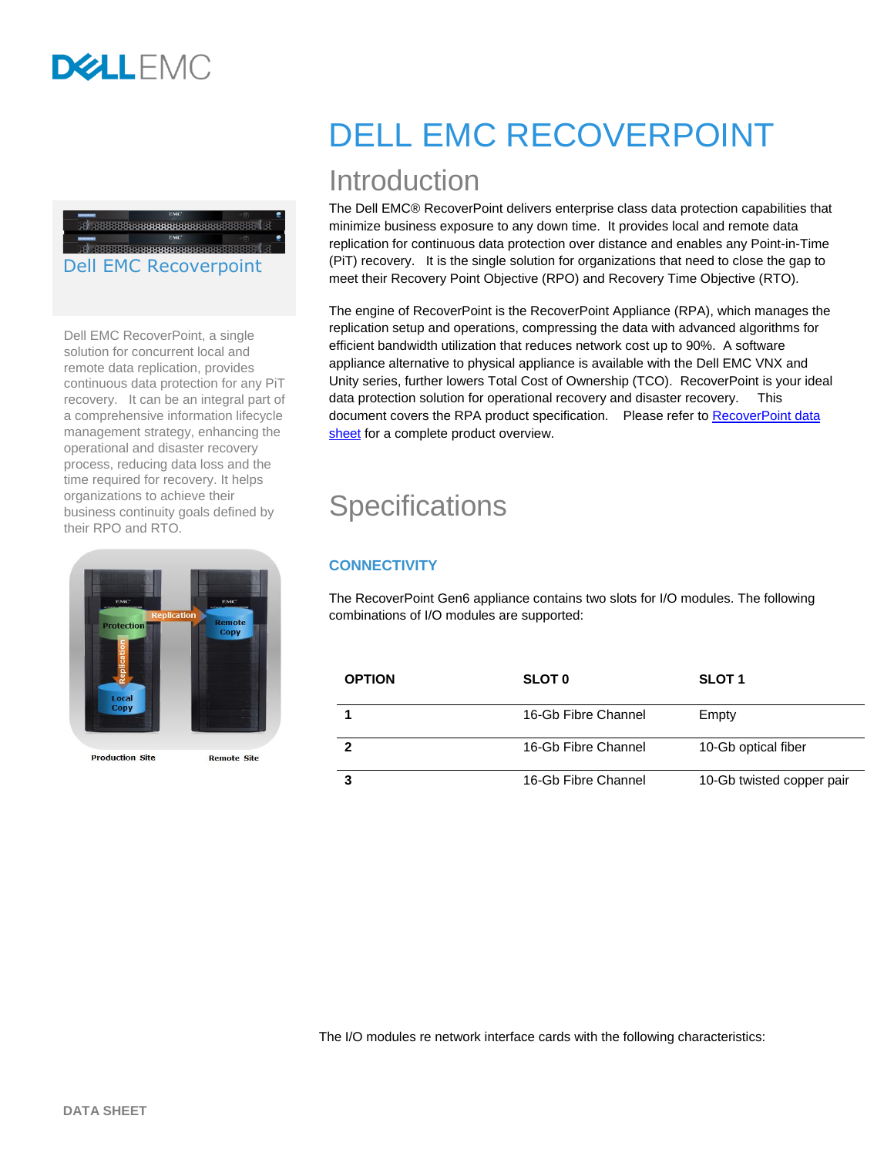## 

#### Dell EMC Recoverpoint

Dell EMC RecoverPoint, a single solution for concurrent local and remote data replication, provides continuous data protection for any PiT recovery. It can be an integral part of a comprehensive information lifecycle management strategy, enhancing the operational and disaster recovery process, reducing data loss and the time required for recovery. It helps organizations to achieve their business continuity goals defined by their RPO and RTO.



**Production Site** 

**Remote Site** 

# DELL EMC RECOVERPOINT

## Introduction

The Dell EMC® RecoverPoint delivers enterprise class data protection capabilities that minimize business exposure to any down time. It provides local and remote data replication for continuous data protection over distance and enables any Point-in-Time (PiT) recovery. It is the single solution for organizations that need to close the gap to meet their Recovery Point Objective (RPO) and Recovery Time Objective (RTO).

The engine of RecoverPoint is the RecoverPoint Appliance (RPA), which manages the replication setup and operations, compressing the data with advanced algorithms for efficient bandwidth utilization that reduces network cost up to 90%. A software appliance alternative to physical appliance is available with the Dell EMC VNX and Unity series, further lowers Total Cost of Ownership (TCO). RecoverPoint is your ideal data protection solution for operational recovery and disaster recovery. This document covers the RPA product specification. Please refer to [RecoverPoint data](https://www.emc.com/collateral/software/data-sheet/h2769-recoverpoint-ds.pdf)  [sheet](https://www.emc.com/collateral/software/data-sheet/h2769-recoverpoint-ds.pdf) for a complete product overview.

## **Specifications**

### **CONNECTIVITY**

The RecoverPoint Gen6 appliance contains two slots for I/O modules. The following combinations of I/O modules are supported:

| <b>OPTION</b> | <b>SLOT 0</b>       | <b>SLOT 1</b>             |
|---------------|---------------------|---------------------------|
|               | 16-Gb Fibre Channel | Empty                     |
|               | 16-Gb Fibre Channel | 10-Gb optical fiber       |
|               | 16-Gb Fibre Channel | 10-Gb twisted copper pair |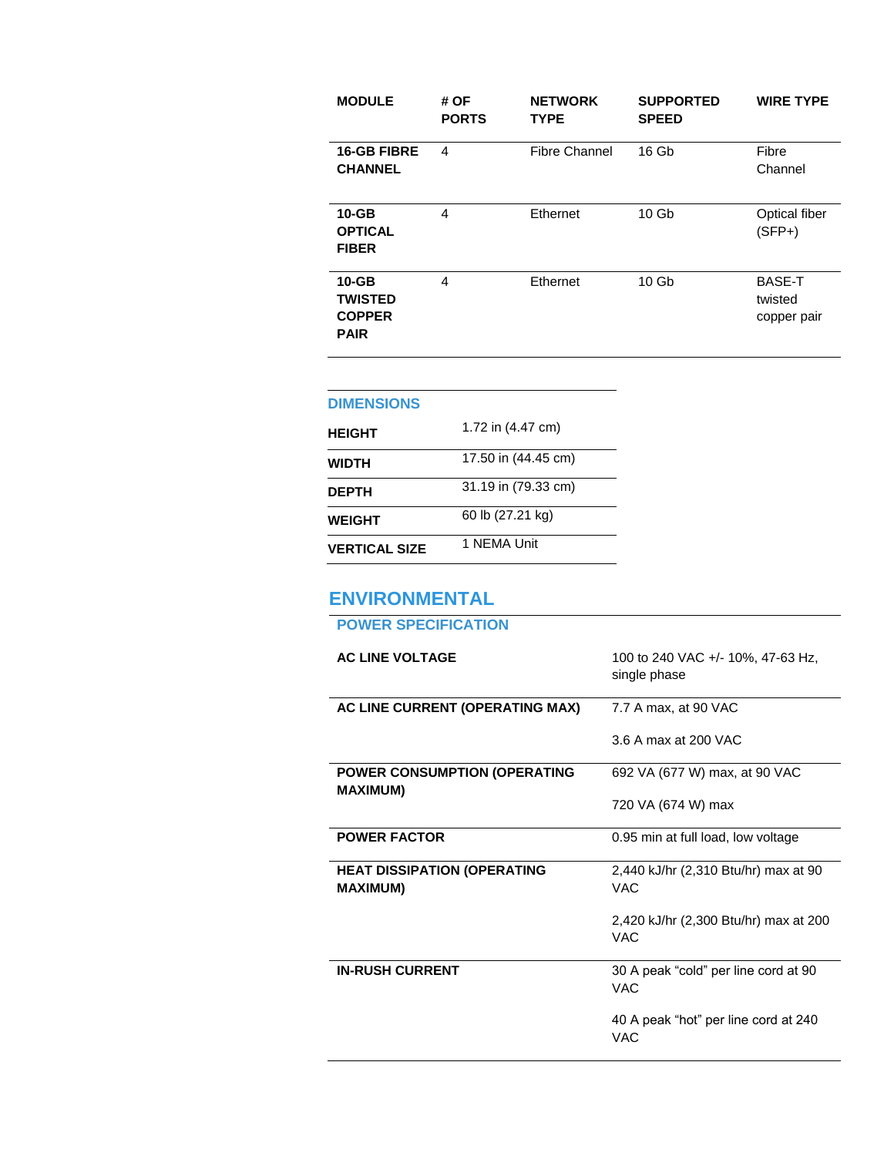| <b>MODULE</b>                                               | # OF<br><b>PORTS</b> | <b>NETWORK</b><br><b>TYPE</b> | <b>SUPPORTED</b><br><b>SPEED</b> | <b>WIRE TYPE</b>                        |
|-------------------------------------------------------------|----------------------|-------------------------------|----------------------------------|-----------------------------------------|
| <b>16-GB FIBRE</b><br><b>CHANNEL</b>                        | 4                    | <b>Fibre Channel</b>          | 16 Gb                            | Fibre<br>Channel                        |
| $10 - GB$<br><b>OPTICAL</b><br><b>FIBER</b>                 | 4                    | Ethernet                      | 10 <sub>Gb</sub>                 | Optical fiber<br>$(SFP+)$               |
| $10 - GB$<br><b>TWISTED</b><br><b>COPPER</b><br><b>PAIR</b> | 4                    | Ethernet                      | 10 <sub>Gb</sub>                 | <b>BASE-T</b><br>twisted<br>copper pair |

#### **DIMENSIONS**

| <b>HEIGHT</b>        | 1.72 in (4.47 cm)   |
|----------------------|---------------------|
| WIDTH                | 17.50 in (44.45 cm) |
| <b>DEPTH</b>         | 31.19 in (79.33 cm) |
| <b>WEIGHT</b>        | 60 lb (27.21 kg)    |
| <b>VERTICAL SIZE</b> | 1 NFMA Unit         |

### **ENVIRONMENTAL**

## **POWER SPECIFICATION AC LINE VOLTAGE** 100 to 240 VAC +/- 10%, 47-63 Hz, single phase AC LINE CURRENT (OPERATING MAX) 7.7 A max, at 90 VAC 3.6 A max at 200 VAC **POWER CONSUMPTION (OPERATING MAXIMUM)** 692 VA (677 W) max, at 90 VAC 720 VA (674 W) max **POWER FACTOR** 0.95 min at full load, low voltage **HEAT DISSIPATION (OPERATING MAXIMUM)** 2,440 kJ/hr (2,310 Btu/hr) max at 90 VAC 2,420 kJ/hr (2,300 Btu/hr) max at 200 VAC **IN-RUSH CURRENT** 30 A peak "cold" per line cord at 90 VAC 40 A peak "hot" per line cord at 240 VAC